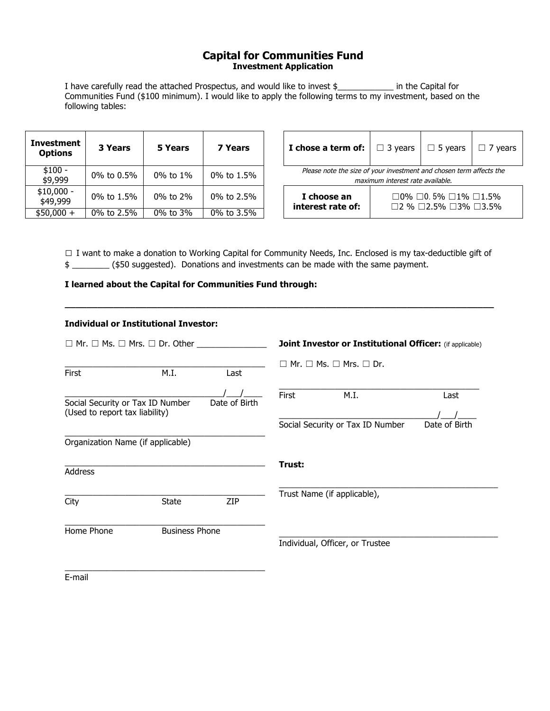## **Capital for Communities Fund Investment Application**

I have carefully read the attached Prospectus, and would like to invest \$\_\_\_\_\_\_\_\_\_\_\_\_ in the Capital for Communities Fund (\$100 minimum). I would like to apply the following terms to my investment, based on the following tables:

| <b>Investment</b><br><b>Options</b> | 3 Years    | 5 Years        | 7 Years      | I chose a term of:                                                                                                                          | $\Box$ 3 vears                   | $\Box$ 5 years | years |
|-------------------------------------|------------|----------------|--------------|---------------------------------------------------------------------------------------------------------------------------------------------|----------------------------------|----------------|-------|
| $$100 -$<br>\$9,999                 | 0% to 0.5% | $0\%$ to $1\%$ | 0% to $1.5%$ | Please note the size of your investment and chosen term affects the                                                                         | maximum interest rate available. |                |       |
| $$10,000 -$<br>\$49,999             | 0% to 1.5% | $0\%$ to $2\%$ | 0% to $2.5%$ | $\Box$ 0% $\Box$ 0.5% $\Box$ 1% $\Box$ 1.5%<br>I choose an<br>interest rate of:<br>$\square$ 2 % $\square$ 2.5% $\square$ 3% $\square$ 3.5% |                                  |                |       |
| $$50,000 +$                         | 0% to 2.5% | 0% to 3%       | 0% to 3.5%   |                                                                                                                                             |                                  |                |       |

| I chose a term of:               | $\Box$ 3 years                                                                                          | $\Box$ 5 years | $\Box$ 7 years |  |  |  |
|----------------------------------|---------------------------------------------------------------------------------------------------------|----------------|----------------|--|--|--|
|                                  | Please note the size of your investment and chosen term affects the<br>maximum interest rate available. |                |                |  |  |  |
| I choose an<br>interest rate of: | $\Box$ 0% $\Box$ 0.5% $\Box$ 1% $\Box$ 1.5%<br>$\Box$ 2 % $\Box$ 2.5% $\Box$ 3% $\Box$ 3.5%             |                |                |  |  |  |

**□** I want to make a donation to Working Capital for Community Needs, Inc. Enclosed is my tax-deductible gift of \$ \_\_\_\_\_\_\_\_ (\$50 suggested). Donations and investments can be made with the same payment.

**\_\_\_\_\_\_\_\_\_\_\_\_\_\_\_\_\_\_\_\_\_\_\_\_\_\_\_\_\_\_\_\_\_\_\_\_\_\_\_\_\_\_\_\_\_\_\_\_\_\_\_\_\_\_\_\_\_\_\_\_\_\_\_\_\_\_\_\_\_\_\_\_\_\_\_\_\_\_\_**

## **I learned about the Capital for Communities Fund through:**

| <b>Individual or Institutional Investor:</b>                       |                       |               |                                                          |                                                          |               |
|--------------------------------------------------------------------|-----------------------|---------------|----------------------------------------------------------|----------------------------------------------------------|---------------|
| $\Box$ Mr. $\Box$ Ms. $\Box$ Mrs. $\Box$ Dr. Other                 |                       |               | Joint Investor or Institutional Officer: (if applicable) |                                                          |               |
| First                                                              | M.I.                  | Last          |                                                          | $\square$ Mr. $\square$ Ms. $\square$ Mrs. $\square$ Dr. |               |
| Social Security or Tax ID Number<br>(Used to report tax liability) |                       | Date of Birth | First                                                    | M.I.                                                     | Last          |
|                                                                    |                       |               |                                                          | Social Security or Tax ID Number                         | Date of Birth |
| Organization Name (if applicable)                                  |                       |               |                                                          |                                                          |               |
| Address                                                            |                       |               | Trust:                                                   |                                                          |               |
| City                                                               | <b>State</b>          | <b>ZIP</b>    |                                                          | Trust Name (if applicable),                              |               |
| Home Phone                                                         | <b>Business Phone</b> |               |                                                          | Individual, Officer, or Trustee                          |               |
| E-mail                                                             |                       |               |                                                          |                                                          |               |